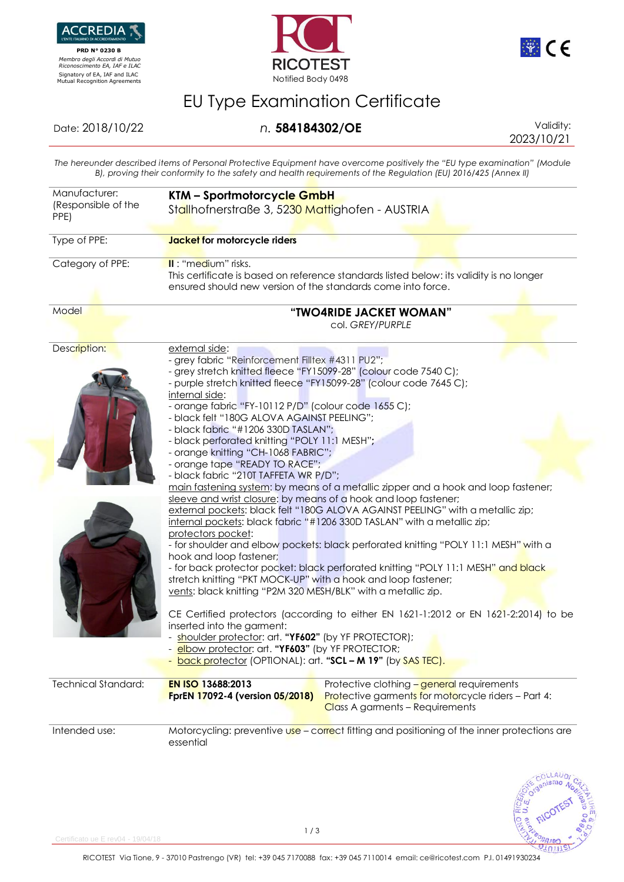

 **PRD N° 0230 B**  *Membro degli Accordi di Mutuo Riconoscimento EA, IAF e ILAC* Signatory of EA, IAF and ILAC<br>Mutual Recognition Agreements Notified Body 0498





# EU Type Examination Certificate

#### Date: 2018/10/22 *n.* **584184302/OE** Validity:

2023/10/21

 $21011$ 

*The hereunder described items of Personal Protective Equipment have overcome positively the "EU type examination" (Module B), proving their conformity to the safety and health requirements of the Regulation (EU) 2016/425 (Annex II)*

| Manufacturer:<br>(Responsible of the<br>PPE) | KTM - Sportmotorcycle GmbH<br>Stallhofnerstraße 3, 5230 Mattighofen - AUSTRIA<br>Jacket for motorcycle riders                                                                                                                                                                                                                                                                                                                                                                                                                                                                                                                                                                                                                                                                                                                                                                                    |  |  |
|----------------------------------------------|--------------------------------------------------------------------------------------------------------------------------------------------------------------------------------------------------------------------------------------------------------------------------------------------------------------------------------------------------------------------------------------------------------------------------------------------------------------------------------------------------------------------------------------------------------------------------------------------------------------------------------------------------------------------------------------------------------------------------------------------------------------------------------------------------------------------------------------------------------------------------------------------------|--|--|
| Type of PPE:                                 |                                                                                                                                                                                                                                                                                                                                                                                                                                                                                                                                                                                                                                                                                                                                                                                                                                                                                                  |  |  |
| Category of PPE:                             | II: "medium" risks.<br>This certificate is based on reference standards listed below: its validity is no longer<br>ensured should new version of the standards come into force.                                                                                                                                                                                                                                                                                                                                                                                                                                                                                                                                                                                                                                                                                                                  |  |  |
| Model                                        | "TWO4RIDE JACKET WOMAN"<br>col. GREY/PURPLE                                                                                                                                                                                                                                                                                                                                                                                                                                                                                                                                                                                                                                                                                                                                                                                                                                                      |  |  |
| Description:                                 | external side:<br>- grey fabric "Reinforcement Filltex #4311 PU2";<br>- grey stretch knitted fleece "FY15099-28" (colour code 7540 C);<br>- purple stretch knitted fleece "FY15099-28" (colour code 7645 C);<br>internal side:<br>- orange fabric "FY-10112 P/D" (colour code 1655 C);<br>- black felt "180G ALOVA AGAINST PEELING";<br>- black fabric "#1206 330D TASLAN";<br>- black perforated knitting "POLY 11:1 MESH";<br>- orange knitting "CH-1068 FABRIC";<br>- orange tape "READY TO RACE";<br>- black fabric "210T TAFFETA WR P/D";<br>main fastening system: by means of a metallic zipper and a hook and loop fastener;                                                                                                                                                                                                                                                             |  |  |
|                                              | sleeve and wrist closure: by means of a hook and loop fastener;<br>external pockets: black felt "180G ALOVA AGAINST PEELING" with a metallic zip;<br>internal pockets: black fabric "#1206 330D TASLAN" with a metallic zip;<br>protectors pocket:<br>- for shoulder and elbow pockets: black perforated knitting "POLY 11:1 MESH" with a<br>hook and loop fastener;<br>- for back protector pocket: black perforated knitting "POLY 11:1 MESH" and black<br>stretch knitting "PKT MOCK-UP" with a hook and loop fastener;<br>vents: black knitting "P2M 320 MESH/BLK" with a metallic zip.<br>CE Certified protectors (according to either EN 1621-1:2012 or EN 1621-2:2014) to be<br>inserted into the garment:<br>shoulder protector: art. "YF602" (by YF PROTECTOR);<br>elbow protector: art. "YF603" (by YF PROTECTOR;<br><b>back protector (OPTIONAL): art. "SCL - M 19" (by SAS TEC).</b> |  |  |
| <b>Technical Standard:</b>                   | EN ISO 13688:2013<br>Protective clothing - general requirements<br>Protective garments for motorcycle riders - Part 4:<br><b>FprEN 17092-4 (version 05/2018)</b><br>Class A garments - Requirements                                                                                                                                                                                                                                                                                                                                                                                                                                                                                                                                                                                                                                                                                              |  |  |
| Intended use:                                | Motorcycling: preventive use - correct fitting and positioning of the inner protections are<br>essential                                                                                                                                                                                                                                                                                                                                                                                                                                                                                                                                                                                                                                                                                                                                                                                         |  |  |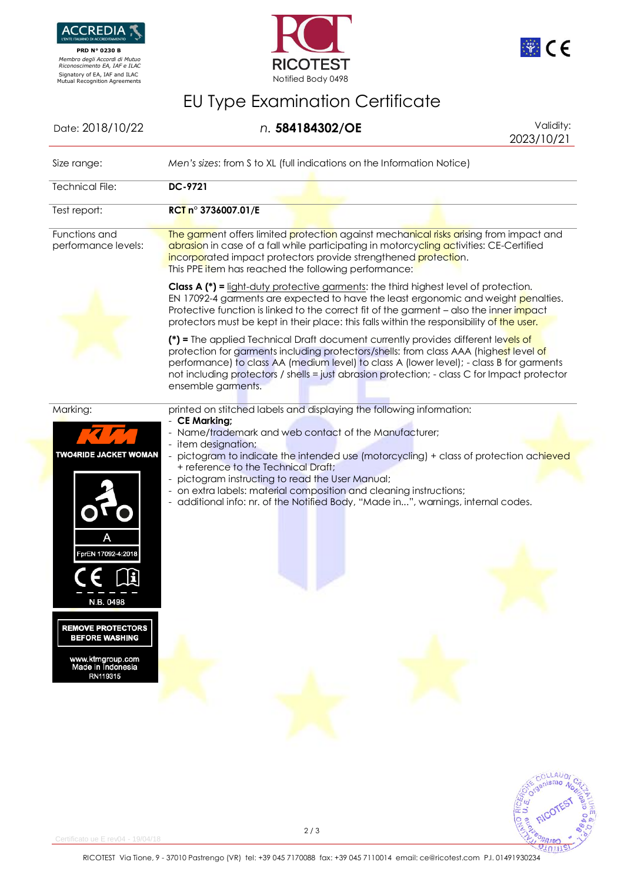

 **PRD N° 0230 B**  *Membro degli Accordi di Mutuo Riconoscimento EA, IAF e ILAC*





<u>וומצ</u>

# EU Type Examination Certificate

| Date: 2018/10/22                                                                                                                                                  | n. 584184302/OE                                                                                                                                                                                                                                                                                                                                                                              | Validity:<br>2023/10/21 |
|-------------------------------------------------------------------------------------------------------------------------------------------------------------------|----------------------------------------------------------------------------------------------------------------------------------------------------------------------------------------------------------------------------------------------------------------------------------------------------------------------------------------------------------------------------------------------|-------------------------|
| Size range:                                                                                                                                                       | Men's sizes: from S to XL (full indications on the Information Notice)                                                                                                                                                                                                                                                                                                                       |                         |
| <b>Technical File:</b>                                                                                                                                            | <b>DC-9721</b>                                                                                                                                                                                                                                                                                                                                                                               |                         |
| Test report:                                                                                                                                                      | RCT n° 3736007.01/E                                                                                                                                                                                                                                                                                                                                                                          |                         |
| Functions and<br>performance levels:                                                                                                                              | The garment offers limited protection against mechanical risks arising from impact and<br>abrasion in case of a fall while participating in motorcycling activities: CE-Certified<br>incorporated impact protectors provide strengthened protection.<br>This PPE item has reached the following performance:                                                                                 |                         |
|                                                                                                                                                                   | <b>Class A (*) = light-duty protective garments: the third highest level of protection.</b><br>EN 17092-4 garments are expected to have the least ergonomic and weight penalties.<br>Protective function is linked to the correct fit of the garment – also the inner impact<br>protectors must be kept in their place: this falls within the responsibility of the user.                    |                         |
|                                                                                                                                                                   | (*) = The applied Technical Draft document currently provides different levels of<br>protection for garments including protectors/shells: from class AAA (highest level of<br>performance) to class AA (medium level) to class A (lower level); - class B for garments<br>not including protectors / shells = just abrasion protection; - class C for Impact protector<br>ensemble garments. |                         |
| Marking:                                                                                                                                                          | printed on stitched labels and displaying the following information:<br>- CE Marking;<br>- Name/trademark and web contact of the Manufacturer;                                                                                                                                                                                                                                               |                         |
| TWO4RIDE JACKET WOMAN<br>prEN 17092-4:2018<br>N.B. 0498<br><b>REMOVE PROTECTORS</b><br><b>BEFORE WASHING</b><br>www.ktmgroup.com<br>Made in Indonesia<br>RN119315 | - item designation;<br>- pictogram to indicate the intended use (motorcycling) + class of protection achieved<br>+ reference to the Technical Draft;<br>- pictogram instructing to read the User Manual;<br>- on extra labels: material composition and cleaning instructions;<br>- additional info: nr. of the Notified Body, "Made in", warnings, internal codes.                          |                         |
|                                                                                                                                                                   |                                                                                                                                                                                                                                                                                                                                                                                              | COLLAUDI                |